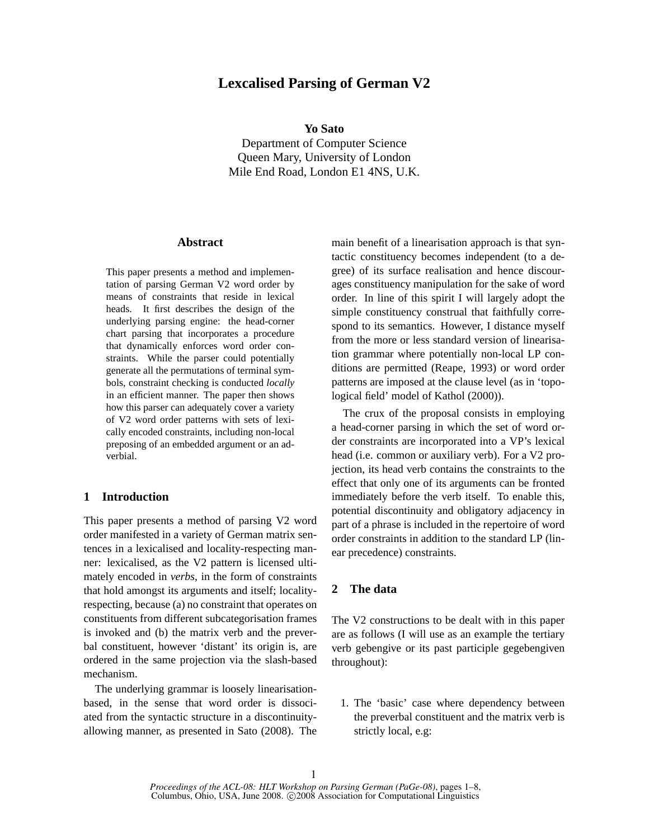# **Lexcalised Parsing of German V2**

**Yo Sato**

Department of Computer Science Queen Mary, University of London Mile End Road, London E1 4NS, U.K.

## **Abstract**

This paper presents a method and implementation of parsing German V2 word order by means of constraints that reside in lexical heads. It first describes the design of the underlying parsing engine: the head-corner chart parsing that incorporates a procedure that dynamically enforces word order constraints. While the parser could potentially generate all the permutations of terminal symbols, constraint checking is conducted *locally* in an efficient manner. The paper then shows how this parser can adequately cover a variety of V2 word order patterns with sets of lexically encoded constraints, including non-local preposing of an embedded argument or an adverbial.

## **1 Introduction**

This paper presents a method of parsing V2 word order manifested in a variety of German matrix sentences in a lexicalised and locality-respecting manner: lexicalised, as the V2 pattern is licensed ultimately encoded in *verbs*, in the form of constraints that hold amongst its arguments and itself; localityrespecting, because (a) no constraint that operates on constituents from different subcategorisation frames is invoked and (b) the matrix verb and the preverbal constituent, however 'distant' its origin is, are ordered in the same projection via the slash-based mechanism.

The underlying grammar is loosely linearisationbased, in the sense that word order is dissociated from the syntactic structure in a discontinuityallowing manner, as presented in Sato (2008). The main benefit of a linearisation approach is that syntactic constituency becomes independent (to a degree) of its surface realisation and hence discourages constituency manipulation for the sake of word order. In line of this spirit I will largely adopt the simple constituency construal that faithfully correspond to its semantics. However, I distance myself from the more or less standard version of linearisation grammar where potentially non-local LP conditions are permitted (Reape, 1993) or word order patterns are imposed at the clause level (as in 'topological field' model of Kathol (2000)).

The crux of the proposal consists in employing a head-corner parsing in which the set of word order constraints are incorporated into a VP's lexical head (i.e. common or auxiliary verb). For a V2 projection, its head verb contains the constraints to the effect that only one of its arguments can be fronted immediately before the verb itself. To enable this, potential discontinuity and obligatory adjacency in part of a phrase is included in the repertoire of word order constraints in addition to the standard LP (linear precedence) constraints.

## **2 The data**

The V2 constructions to be dealt with in this paper are as follows (I will use as an example the tertiary verb gebengive or its past participle gegebengiven throughout):

1. The 'basic' case where dependency between the preverbal constituent and the matrix verb is strictly local, e.g: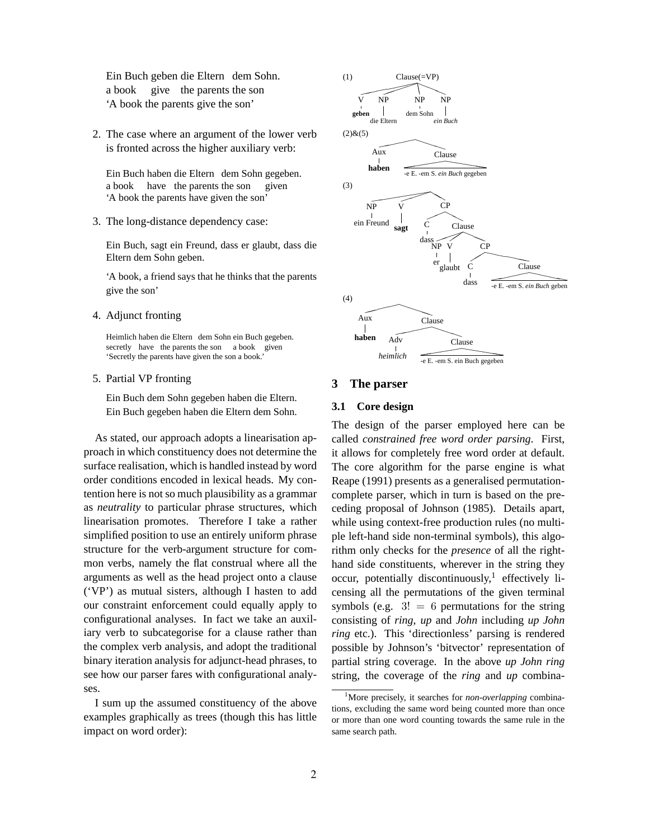Ein Buch geben die Eltern dem Sohn. a book give the parents the son 'A book the parents give the son'

2. The case where an argument of the lower verb is fronted across the higher auxiliary verb:

Ein Buch haben die Eltern dem Sohn gegeben. a book have the parents the son given 'A book the parents have given the son'

3. The long-distance dependency case:

Ein Buch, sagt ein Freund, dass er glaubt, dass die Eltern dem Sohn geben.

'A book, a friend says that he thinks that the parents give the son'

4. Adjunct fronting

Heimlich haben die Eltern dem Sohn ein Buch gegeben. secretly have the parents the son a book given 'Secretly the parents have given the son a book.'

5. Partial VP fronting

Ein Buch dem Sohn gegeben haben die Eltern. Ein Buch gegeben haben die Eltern dem Sohn.

As stated, our approach adopts a linearisation approach in which constituency does not determine the surface realisation, which is handled instead by word order conditions encoded in lexical heads. My contention here is not so much plausibility as a grammar as *neutrality* to particular phrase structures, which linearisation promotes. Therefore I take a rather simplified position to use an entirely uniform phrase structure for the verb-argument structure for common verbs, namely the flat construal where all the arguments as well as the head project onto a clause ('VP') as mutual sisters, although I hasten to add our constraint enforcement could equally apply to configurational analyses. In fact we take an auxiliary verb to subcategorise for a clause rather than the complex verb analysis, and adopt the traditional binary iteration analysis for adjunct-head phrases, to see how our parser fares with configurational analyses.

I sum up the assumed constituency of the above examples graphically as trees (though this has little impact on word order):



#### **3 The parser**

### **3.1 Core design**

The design of the parser employed here can be called *constrained free word order parsing*. First, it allows for completely free word order at default. The core algorithm for the parse engine is what Reape (1991) presents as a generalised permutationcomplete parser, which in turn is based on the preceding proposal of Johnson (1985). Details apart, while using context-free production rules (no multiple left-hand side non-terminal symbols), this algorithm only checks for the *presence* of all the righthand side constituents, wherever in the string they occur, potentially discontinuously,<sup>1</sup> effectively licensing all the permutations of the given terminal symbols (e.g.  $3! = 6$  permutations for the string consisting of *ring*, *up* and *John* including *up John ring* etc.). This 'directionless' parsing is rendered possible by Johnson's 'bitvector' representation of partial string coverage. In the above *up John ring* string, the coverage of the *ring* and *up* combina-

<sup>&</sup>lt;sup>1</sup>More precisely, it searches for *non-overlapping* combinations, excluding the same word being counted more than once or more than one word counting towards the same rule in the same search path.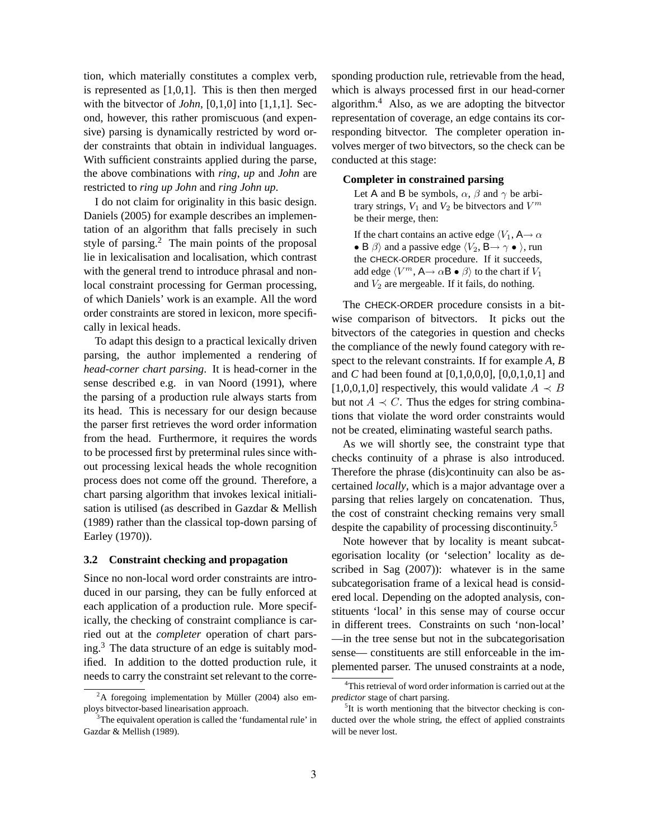tion, which materially constitutes a complex verb, is represented as [1,0,1]. This is then then merged with the bitvector of *John*, [0,1,0] into [1,1,1]. Second, however, this rather promiscuous (and expensive) parsing is dynamically restricted by word order constraints that obtain in individual languages. With sufficient constraints applied during the parse, the above combinations with *ring*, *up* and *John* are restricted to *ring up John* and *ring John up*.

I do not claim for originality in this basic design. Daniels (2005) for example describes an implementation of an algorithm that falls precisely in such style of parsing.<sup>2</sup> The main points of the proposal lie in lexicalisation and localisation, which contrast with the general trend to introduce phrasal and nonlocal constraint processing for German processing, of which Daniels' work is an example. All the word order constraints are stored in lexicon, more specifically in lexical heads.

To adapt this design to a practical lexically driven parsing, the author implemented a rendering of *head-corner chart parsing*. It is head-corner in the sense described e.g. in van Noord (1991), where the parsing of a production rule always starts from its head. This is necessary for our design because the parser first retrieves the word order information from the head. Furthermore, it requires the words to be processed first by preterminal rules since without processing lexical heads the whole recognition process does not come off the ground. Therefore, a chart parsing algorithm that invokes lexical initialisation is utilised (as described in Gazdar & Mellish (1989) rather than the classical top-down parsing of Earley (1970)).

## **3.2 Constraint checking and propagation**

Since no non-local word order constraints are introduced in our parsing, they can be fully enforced at each application of a production rule. More specifically, the checking of constraint compliance is carried out at the *completer* operation of chart parsing.<sup>3</sup> The data structure of an edge is suitably modified. In addition to the dotted production rule, it needs to carry the constraint set relevant to the corresponding production rule, retrievable from the head, which is always processed first in our head-corner algorithm.<sup>4</sup> Also, as we are adopting the bitvector representation of coverage, an edge contains its corresponding bitvector. The completer operation involves merger of two bitvectors, so the check can be conducted at this stage:

### **Completer in constrained parsing**

Let A and B be symbols,  $\alpha$ ,  $\beta$  and  $\gamma$  be arbitrary strings,  $V_1$  and  $V_2$  be bitvectors and  $V^m$ be their merge, then:

If the chart contains an active edge  $\langle V_1, A \rightarrow \alpha \rangle$ • B  $\beta$  and a passive edge  $\langle V_2, \mathsf{B}\rightarrow \gamma \bullet \rangle$ , run the CHECK-ORDER procedure. If it succeeds, add edge  $\langle V^m, A \rightarrow \alpha \mathbf{B} \bullet \beta \rangle$  to the chart if  $V_1$ and  $V_2$  are mergeable. If it fails, do nothing.

The CHECK-ORDER procedure consists in a bitwise comparison of bitvectors. It picks out the bitvectors of the categories in question and checks the compliance of the newly found category with respect to the relevant constraints. If for example *A*, *B* and *C* had been found at [0,1,0,0,0], [0,0,1,0,1] and [1,0,0,1,0] respectively, this would validate  $A \prec B$ but not  $A \prec C$ . Thus the edges for string combinations that violate the word order constraints would not be created, eliminating wasteful search paths.

As we will shortly see, the constraint type that checks continuity of a phrase is also introduced. Therefore the phrase (dis)continuity can also be ascertained *locally*, which is a major advantage over a parsing that relies largely on concatenation. Thus, the cost of constraint checking remains very small despite the capability of processing discontinuity.<sup>5</sup>

Note however that by locality is meant subcategorisation locality (or 'selection' locality as described in Sag (2007)): whatever is in the same subcategorisation frame of a lexical head is considered local. Depending on the adopted analysis, constituents 'local' in this sense may of course occur in different trees. Constraints on such 'non-local' —in the tree sense but not in the subcategorisation sense— constituents are still enforceable in the implemented parser. The unused constraints at a node,

 $2A$  foregoing implementation by Müller (2004) also employs bitvector-based linearisation approach.

<sup>&</sup>lt;sup>3</sup>The equivalent operation is called the 'fundamental rule' in Gazdar & Mellish (1989).

<sup>&</sup>lt;sup>4</sup>This retrieval of word order information is carried out at the *predictor* stage of chart parsing.

<sup>&</sup>lt;sup>5</sup>It is worth mentioning that the bitvector checking is conducted over the whole string, the effect of applied constraints will be never lost.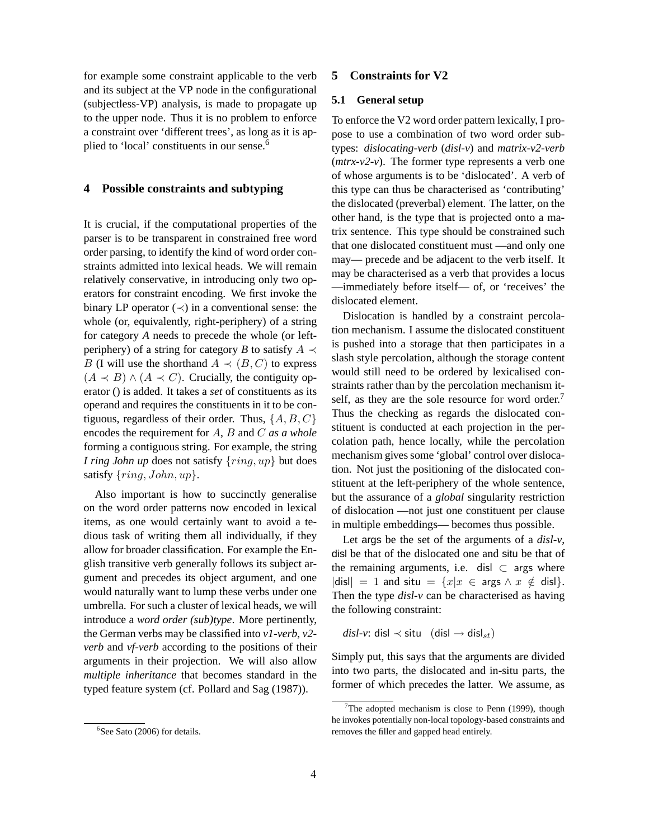for example some constraint applicable to the verb and its subject at the VP node in the configurational (subjectless-VP) analysis, is made to propagate up to the upper node. Thus it is no problem to enforce a constraint over 'different trees', as long as it is applied to 'local' constituents in our sense.<sup>6</sup>

## **4 Possible constraints and subtyping**

It is crucial, if the computational properties of the parser is to be transparent in constrained free word order parsing, to identify the kind of word order constraints admitted into lexical heads. We will remain relatively conservative, in introducing only two operators for constraint encoding. We first invoke the binary LP operator  $(\prec)$  in a conventional sense: the whole (or, equivalently, right-periphery) of a string for category *A* needs to precede the whole (or leftperiphery) of a string for category *B* to satisfy  $A \prec$ B (I will use the shorthand  $A \prec (B, C)$  to express  $(A \prec B) \land (A \prec C)$ . Crucially, the contiguity operator () is added. It takes a *set* of constituents as its operand and requires the constituents in it to be contiguous, regardless of their order. Thus,  $\{A, B, C\}$ encodes the requirement for A, B and C *as a whole* forming a contiguous string. For example, the string *I ring John up* does not satisfy  $\{ring, up\}$  but does satisfy  $\{ring, John, up\}.$ 

Also important is how to succinctly generalise on the word order patterns now encoded in lexical items, as one would certainly want to avoid a tedious task of writing them all individually, if they allow for broader classification. For example the English transitive verb generally follows its subject argument and precedes its object argument, and one would naturally want to lump these verbs under one umbrella. For such a cluster of lexical heads, we will introduce a *word order (sub)type*. More pertinently, the German verbs may be classified into *v1-verb*, *v2 verb* and *vf-verb* according to the positions of their arguments in their projection. We will also allow *multiple inheritance* that becomes standard in the typed feature system (cf. Pollard and Sag (1987)).

#### $6$ See Sato (2006) for details.

#### **5 Constraints for V2**

#### **5.1 General setup**

To enforce the V2 word order pattern lexically, I propose to use a combination of two word order subtypes: *dislocating-verb* (*disl-v*) and *matrix-v2-verb* (*mtrx-v2-v*). The former type represents a verb one of whose arguments is to be 'dislocated'. A verb of this type can thus be characterised as 'contributing' the dislocated (preverbal) element. The latter, on the other hand, is the type that is projected onto a matrix sentence. This type should be constrained such that one dislocated constituent must —and only one may— precede and be adjacent to the verb itself. It may be characterised as a verb that provides a locus —immediately before itself— of, or 'receives' the dislocated element.

Dislocation is handled by a constraint percolation mechanism. I assume the dislocated constituent is pushed into a storage that then participates in a slash style percolation, although the storage content would still need to be ordered by lexicalised constraints rather than by the percolation mechanism itself, as they are the sole resource for word order.<sup>7</sup> Thus the checking as regards the dislocated constituent is conducted at each projection in the percolation path, hence locally, while the percolation mechanism gives some 'global' control over dislocation. Not just the positioning of the dislocated constituent at the left-periphery of the whole sentence, but the assurance of a *global* singularity restriction of dislocation —not just one constituent per clause in multiple embeddings— becomes thus possible.

Let args be the set of the arguments of a *disl-v*, disl be that of the dislocated one and situ be that of the remaining arguments, i.e. disl  $\subset$  args where |disl| = 1 and situ =  $\{x|x \in \text{args} \land x \notin \text{disl}\}.$ Then the type *disl-v* can be characterised as having the following constraint:

 $disl$ -*v*: disl ≺ situ (disl → disl<sub>st</sub>)

Simply put, this says that the arguments are divided into two parts, the dislocated and in-situ parts, the former of which precedes the latter. We assume, as

<sup>&</sup>lt;sup>7</sup>The adopted mechanism is close to Penn (1999), though he invokes potentially non-local topology-based constraints and removes the filler and gapped head entirely.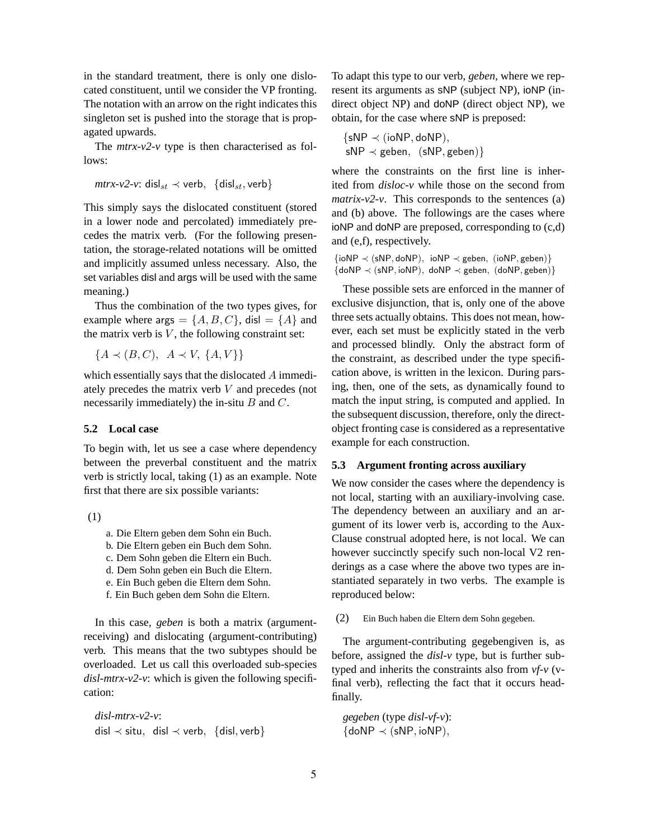in the standard treatment, there is only one dislocated constituent, until we consider the VP fronting. The notation with an arrow on the right indicates this singleton set is pushed into the storage that is propagated upwards.

The  $mtrx-v2-v$  type is then characterised as follows:

*mtrx-v2-v*: disl<sub>st</sub>  $\prec$  verb, {disl<sub>st</sub>, verb}

This simply says the dislocated constituent (stored in a lower node and percolated) immediately precedes the matrix verb. (For the following presentation, the storage-related notations will be omitted and implicitly assumed unless necessary. Also, the set variables disl and args will be used with the same meaning.)

Thus the combination of the two types gives, for example where args =  $\{A, B, C\}$ , disl =  $\{A\}$  and the matrix verb is  $V$ , the following constraint set:

 ${A \prec (B, C), A \prec V, \{A, V\}\}$ 

which essentially says that the dislocated A immediately precedes the matrix verb  $V$  and precedes (not necessarily immediately) the in-situ  $B$  and  $C$ .

### **5.2 Local case**

To begin with, let us see a case where dependency between the preverbal constituent and the matrix verb is strictly local, taking (1) as an example. Note first that there are six possible variants:

(1)

- a. Die Eltern geben dem Sohn ein Buch.
- b. Die Eltern geben ein Buch dem Sohn.
- c. Dem Sohn geben die Eltern ein Buch.
- d. Dem Sohn geben ein Buch die Eltern.
- e. Ein Buch geben die Eltern dem Sohn.
- f. Ein Buch geben dem Sohn die Eltern.

In this case, *geben* is both a matrix (argumentreceiving) and dislocating (argument-contributing) verb. This means that the two subtypes should be overloaded. Let us call this overloaded sub-species *disl-mtrx-v2-v*: which is given the following specification:

*disl-mtrx-v2-v*: disl ≺ situ, disl ≺ verb, {disl, verb} To adapt this type to our verb, *geben*, where we represent its arguments as sNP (subject NP), ioNP (indirect object NP) and doNP (direct object NP), we obtain, for the case where sNP is preposed:

 $\{sNP \prec (ioNP, doNP),\}$  $sNP \prec geben$ ,  $(sNP, geben)$ }

where the constraints on the first line is inherited from *disloc-v* while those on the second from *matrix-v2-v*. This corresponds to the sentences (a) and (b) above. The followings are the cases where ioNP and doNP are preposed, corresponding to (c,d) and (e,f), respectively.

```
\{ioNP \prec (sNP, doNP), ioNP \prec geben, (ioNP, geben)\}{doNP \prec (sNP, ioNP)}, doNP \prec geben, (doNP, geben)
```
These possible sets are enforced in the manner of exclusive disjunction, that is, only one of the above three sets actually obtains. This does not mean, however, each set must be explicitly stated in the verb and processed blindly. Only the abstract form of the constraint, as described under the type specification above, is written in the lexicon. During parsing, then, one of the sets, as dynamically found to match the input string, is computed and applied. In the subsequent discussion, therefore, only the directobject fronting case is considered as a representative example for each construction.

## **5.3 Argument fronting across auxiliary**

We now consider the cases where the dependency is not local, starting with an auxiliary-involving case. The dependency between an auxiliary and an argument of its lower verb is, according to the Aux-Clause construal adopted here, is not local. We can however succinctly specify such non-local V2 renderings as a case where the above two types are instantiated separately in two verbs. The example is reproduced below:

(2) Ein Buch haben die Eltern dem Sohn gegeben.

The argument-contributing gegebengiven is, as before, assigned the *disl-v* type, but is further subtyped and inherits the constraints also from *vf-v* (vfinal verb), reflecting the fact that it occurs headfinally.

*gegeben* (type *disl-vf-v*):  ${doNP} \prec (sNP, ioNP),$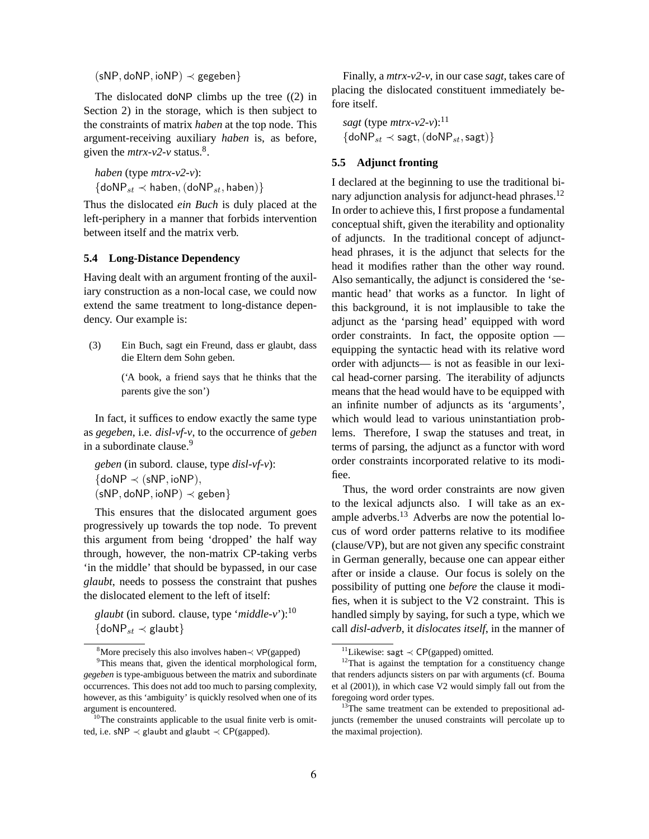$(sNP, doNP, ioNP) \prec gegeben$ 

The dislocated doNP climbs up the tree  $(2)$  in Section 2) in the storage, which is then subject to the constraints of matrix *haben* at the top node. This argument-receiving auxiliary *haben* is, as before, given the  $m\text{tr}x-v2-v$  status.<sup>8</sup>.

*haben* (type *mtrx-v2-v*):  $\{\text{doNP}_{st} \prec \text{haben}, (\text{doNP}_{st}, \text{haben})\}$ 

Thus the dislocated *ein Buch* is duly placed at the left-periphery in a manner that forbids intervention between itself and the matrix verb.

## **5.4 Long-Distance Dependency**

Having dealt with an argument fronting of the auxiliary construction as a non-local case, we could now extend the same treatment to long-distance dependency. Our example is:

(3) Ein Buch, sagt ein Freund, dass er glaubt, dass die Eltern dem Sohn geben.

> ('A book, a friend says that he thinks that the parents give the son')

In fact, it suffices to endow exactly the same type as *gegeben*, i.e. *disl-vf-v*, to the occurrence of *geben* in a subordinate clause.<sup>9</sup>

*geben* (in subord. clause, type *disl-vf-v*):  $\{ \text{doNP} \prec (\text{sNP}, \text{ioNP}), \}$  $(sNP, doNP, ioNP) \prec geben\}$ 

This ensures that the dislocated argument goes progressively up towards the top node. To prevent this argument from being 'dropped' the half way through, however, the non-matrix CP-taking verbs 'in the middle' that should be bypassed, in our case *glaubt*, needs to possess the constraint that pushes the dislocated element to the left of itself:

*glaubt* (in subord. clause, type '*middle-v*'):<sup>10</sup>  $\{\text{doNP}_{st} \prec \text{glaubt}\}$ 

Finally, a *mtrx-v2-v*, in our case *sagt*, takes care of placing the dislocated constituent immediately before itself.

*sagt* (type  $m\frac{tr}{v^2}$ -v):<sup>11</sup>  ${doNP}_{st} \prec$  sagt,  $(doNP_{st},$  sagt) $}$ 

## **5.5 Adjunct fronting**

I declared at the beginning to use the traditional binary adjunction analysis for adjunct-head phrases.<sup>12</sup> In order to achieve this, I first propose a fundamental conceptual shift, given the iterability and optionality of adjuncts. In the traditional concept of adjuncthead phrases, it is the adjunct that selects for the head it modifies rather than the other way round. Also semantically, the adjunct is considered the 'semantic head' that works as a functor. In light of this background, it is not implausible to take the adjunct as the 'parsing head' equipped with word order constraints. In fact, the opposite option equipping the syntactic head with its relative word order with adjuncts— is not as feasible in our lexical head-corner parsing. The iterability of adjuncts means that the head would have to be equipped with an infinite number of adjuncts as its 'arguments', which would lead to various uninstantiation problems. Therefore, I swap the statuses and treat, in terms of parsing, the adjunct as a functor with word order constraints incorporated relative to its modifiee.

Thus, the word order constraints are now given to the lexical adjuncts also. I will take as an example adverbs.<sup>13</sup> Adverbs are now the potential locus of word order patterns relative to its modifiee (clause/VP), but are not given any specific constraint in German generally, because one can appear either after or inside a clause. Our focus is solely on the possibility of putting one *before* the clause it modifies, when it is subject to the V2 constraint. This is handled simply by saying, for such a type, which we call *disl-adverb*, it *dislocates itself*, in the manner of

<sup>8</sup>More precisely this also involves haben $\prec VP$ (gapped)

<sup>&</sup>lt;sup>9</sup>This means that, given the identical morphological form, *gegeben* is type-ambiguous between the matrix and subordinate occurrences. This does not add too much to parsing complexity, however, as this 'ambiguity' is quickly resolved when one of its argument is encountered.

<sup>&</sup>lt;sup>10</sup>The constraints applicable to the usual finite verb is omitted, i.e. sNP  $\prec$  glaubt and glaubt  $\prec$  CP(gapped).

<sup>11</sup>Likewise: sagt ≺ CP(gapped) omitted.

 $12$ That is against the temptation for a constituency change that renders adjuncts sisters on par with arguments (cf. Bouma et al (2001)), in which case V2 would simply fall out from the foregoing word order types.

<sup>&</sup>lt;sup>13</sup>The same treatment can be extended to prepositional adjuncts (remember the unused constraints will percolate up to the maximal projection).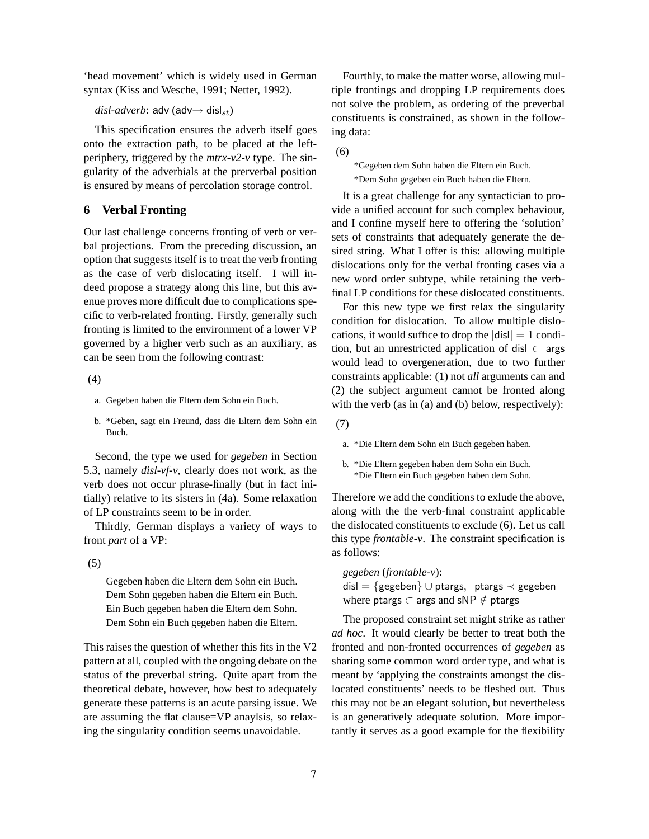'head movement' which is widely used in German syntax (Kiss and Wesche, 1991; Netter, 1992).

## $disl-adverb: adv (adv $\rightarrow$  disl<sub>st</sub>)$

This specification ensures the adverb itself goes onto the extraction path, to be placed at the leftperiphery, triggered by the *mtrx-v2-v* type. The singularity of the adverbials at the prerverbal position is ensured by means of percolation storage control.

## **6 Verbal Fronting**

Our last challenge concerns fronting of verb or verbal projections. From the preceding discussion, an option that suggests itself is to treat the verb fronting as the case of verb dislocating itself. I will indeed propose a strategy along this line, but this avenue proves more difficult due to complications specific to verb-related fronting. Firstly, generally such fronting is limited to the environment of a lower VP governed by a higher verb such as an auxiliary, as can be seen from the following contrast:

(4)

- a. Gegeben haben die Eltern dem Sohn ein Buch.
- b. \*Geben, sagt ein Freund, dass die Eltern dem Sohn ein Buch.

Second, the type we used for *gegeben* in Section 5.3, namely *disl-vf-v*, clearly does not work, as the verb does not occur phrase-finally (but in fact initially) relative to its sisters in (4a). Some relaxation of LP constraints seem to be in order.

Thirdly, German displays a variety of ways to front *part* of a VP:

(5)

Gegeben haben die Eltern dem Sohn ein Buch. Dem Sohn gegeben haben die Eltern ein Buch. Ein Buch gegeben haben die Eltern dem Sohn. Dem Sohn ein Buch gegeben haben die Eltern.

This raises the question of whether this fits in the V2 pattern at all, coupled with the ongoing debate on the status of the preverbal string. Quite apart from the theoretical debate, however, how best to adequately generate these patterns is an acute parsing issue. We are assuming the flat clause=VP anaylsis, so relaxing the singularity condition seems unavoidable.

Fourthly, to make the matter worse, allowing multiple frontings and dropping LP requirements does not solve the problem, as ordering of the preverbal constituents is constrained, as shown in the following data:

(6)

\*Gegeben dem Sohn haben die Eltern ein Buch. \*Dem Sohn gegeben ein Buch haben die Eltern.

It is a great challenge for any syntactician to provide a unified account for such complex behaviour, and I confine myself here to offering the 'solution' sets of constraints that adequately generate the desired string. What I offer is this: allowing multiple dislocations only for the verbal fronting cases via a new word order subtype, while retaining the verbfinal LP conditions for these dislocated constituents.

For this new type we first relax the singularity condition for dislocation. To allow multiple dislocations, it would suffice to drop the  $|dis| = 1$  condition, but an unrestricted application of disl  $\subset$  args would lead to overgeneration, due to two further constraints applicable: (1) not *all* arguments can and (2) the subject argument cannot be fronted along with the verb (as in (a) and (b) below, respectively):

(7)

b. \*Die Eltern gegeben haben dem Sohn ein Buch. \*Die Eltern ein Buch gegeben haben dem Sohn.

Therefore we add the conditions to exlude the above, along with the the verb-final constraint applicable the dislocated constituents to exclude (6). Let us call this type *frontable-v*. The constraint specification is as follows:

*gegeben* (*frontable-v*): disl = {gegeben} ∪ ptargs, ptargs  $\prec$  gegeben where ptargs  $\subset$  args and sNP  $\notin$  ptargs

The proposed constraint set might strike as rather *ad hoc*. It would clearly be better to treat both the fronted and non-fronted occurrences of *gegeben* as sharing some common word order type, and what is meant by 'applying the constraints amongst the dislocated constituents' needs to be fleshed out. Thus this may not be an elegant solution, but nevertheless is an generatively adequate solution. More importantly it serves as a good example for the flexibility

a. \*Die Eltern dem Sohn ein Buch gegeben haben.